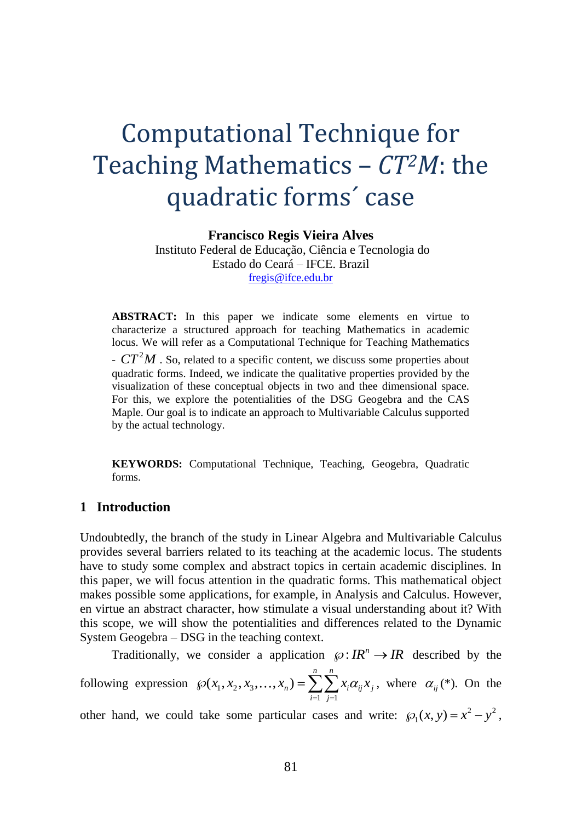# Computational Technique for Teaching Mathematics – *CT2M*: the quadratic forms´ case

**Francisco Regis Vieira Alves**

Instituto Federal de Educação, Ciência e Tecnologia do Estado do Ceará – IFCE. Brazil [fregis@ifce.edu.br](mailto:fregis@ifce.edu.br)

**ABSTRACT:** In this paper we indicate some elements en virtue to characterize a structured approach for teaching Mathematics in academic locus. We will refer as a Computational Technique for Teaching Mathematics

 $-CT<sup>2</sup>M$ . So, related to a specific content, we discuss some properties about quadratic forms. Indeed, we indicate the qualitative properties provided by the visualization of these conceptual objects in two and thee dimensional space. For this, we explore the potentialities of the DSG Geogebra and the CAS Maple. Our goal is to indicate an approach to Multivariable Calculus supported by the actual technology.

**KEYWORDS:** Computational Technique, Teaching, Geogebra, Quadratic forms.

## **1 Introduction**

Undoubtedly, the branch of the study in Linear Algebra and Multivariable Calculus provides several barriers related to its teaching at the academic locus. The students have to study some complex and abstract topics in certain academic disciplines. In this paper, we will focus attention in the quadratic forms. This mathematical object makes possible some applications, for example, in Analysis and Calculus. However, en virtue an abstract character, how stimulate a visual understanding about it? With this scope, we will show the potentialities and differences related to the Dynamic System Geogebra – DSG in the teaching context.

Traditionally, we consider a application  $\wp: IR^n \to IR$  described by the following expression  $\mathcal{O}(x_1, x_2, x_3)$ 1 1  $(x_1, x_2, x_3, \ldots, x_n) = \sum_{n=0}^{n} \sum_{n=0}^{n}$  $n^j$  –  $\sum_{i} \sum_{i} \alpha_i \alpha_{ij} \alpha_j$ *i*=1 *j*  $x_1, x_2, x_3, \ldots, x_n$  = > >  $x_i \alpha_i x$  $\wp(x_1, x_2, x_3, \dots, x_n) = \sum_{i=1}^n \sum_{i=1}^n x_i \alpha_{ij} x_i$ , where  $\alpha_{ij}^*(*)$ . On the other hand, we could take some particular cases and write:  $\mathcal{P}_1(x, y) = x^2 - y^2$ ,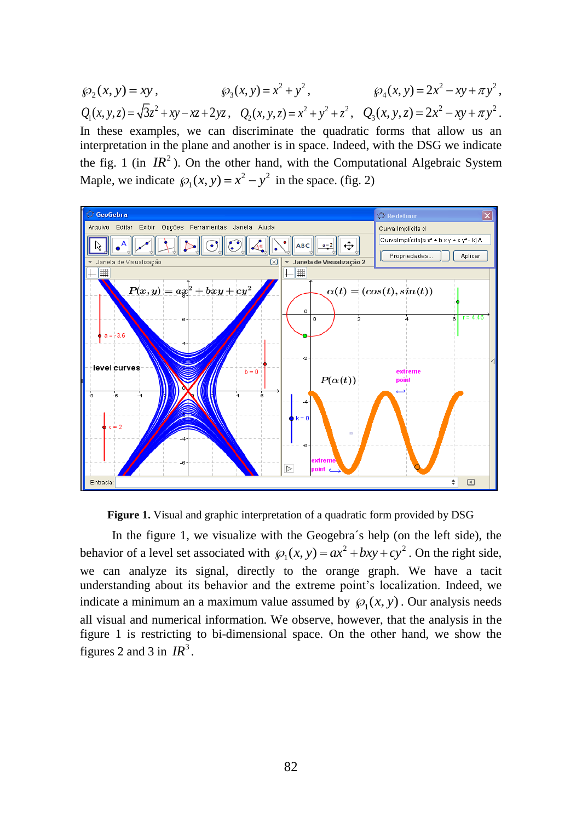$\wp_2(x, y) = xy$ ,  $\wp_3(x, y) = x^2 + y^2$ ,  $\wp_4(x, y) = 2x^2 - xy + \pi y^2$ ,  $Q_1(x, y, z) = \sqrt{3z^2 + xy - xz + 2yz}$ ,  $Q_2(x, y, z) = x^2 + y^2 + z^2$ ,  $Q_3(x, y, z) = 2x^2 - xy + \pi y^2$ . In these examples, we can discriminate the quadratic forms that allow us an interpretation in the plane and another is in space. Indeed, with the DSG we indicate the fig. 1 (in  $IR^2$ ). On the other hand, with the Computational Algebraic System Maple, we indicate  $\mathcal{D}_1(x, y) = x^2 - y^2$  in the space. (fig. 2)





In the figure 1, we visualize with the Geogebra´s help (on the left side), the behavior of a level set associated with  $\varphi_1(x, y) = ax^2 + bxy + cy^2$ . On the right side, we can analyze its signal, directly to the orange graph. We have a tacit understanding about its behavior and the extreme point's localization. Indeed, we indicate a minimum an a maximum value assumed by  $\mathcal{P}_1(x, y)$ . Our analysis needs all visual and numerical information. We observe, however, that the analysis in the figure 1 is restricting to bi-dimensional space. On the other hand, we show the figures 2 and 3 in  $IR^3$ .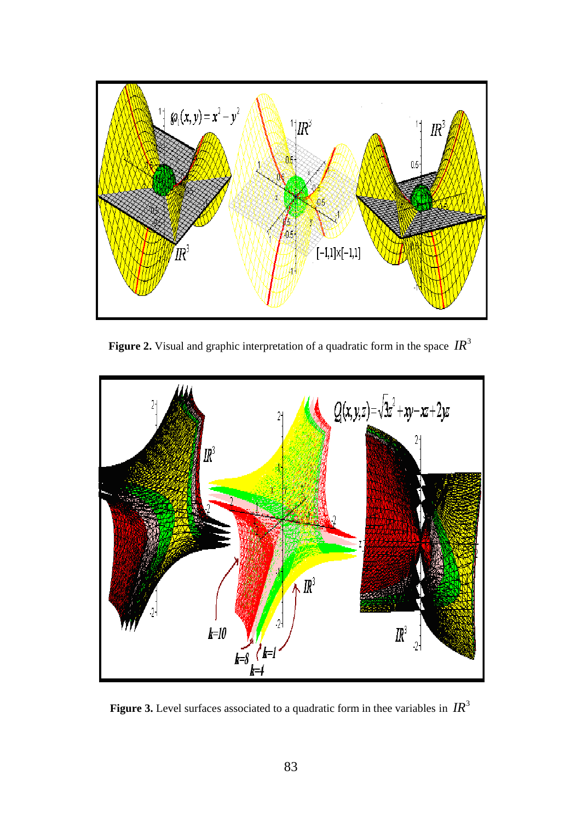

**Figure 2.** Visual and graphic interpretation of a quadratic form in the space  $IR^3$ 



Figure 3. Level surfaces associated to a quadratic form in thee variables in  $IR^3$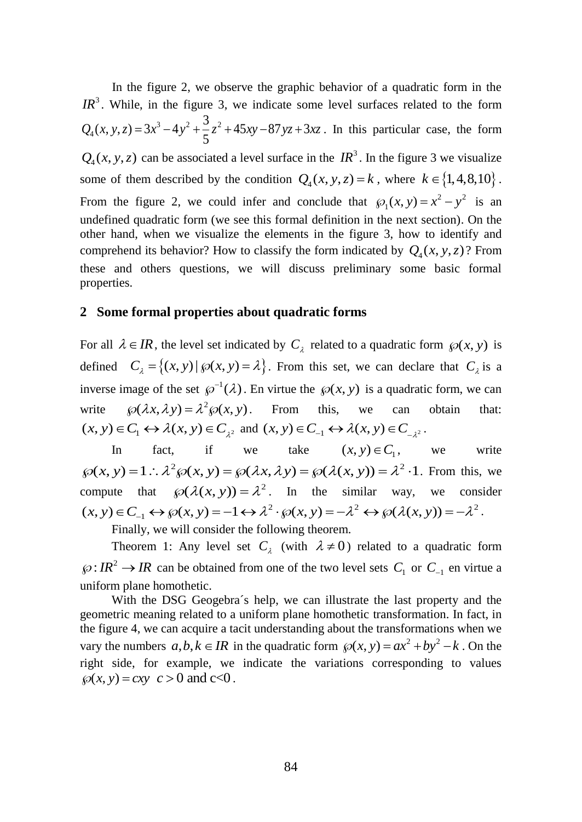In the figure 2, we observe the graphic behavior of a quadratic form in the  $IR<sup>3</sup>$ . While, in the figure 3, we indicate some level surfaces related to the form 3  $\lambda$  2  $\lambda$  2 2 4  $Q_4(x, y, z) = 3x^3 - 4y^2 + \frac{3}{5}z^2 + 45xy - 87yz + 3xz$ . In this particular case, the form  $Q_4(x, y, z)$  can be associated a level surface in the  $IR^3$ . In the figure 3 we visualize some of them described by the condition  $Q_4(x, y, z) = k$ , where  $k \in \{1, 4, 8, 10\}$ . From the figure 2, we could infer and conclude that  $\mathcal{D}_1(x, y) = x^2 - y^2$  is an undefined quadratic form (we see this formal definition in the next section). On the other hand, when we visualize the elements in the figure 3, how to identify and comprehend its behavior? How to classify the form indicated by  $Q_4(x, y, z)$ ? From these and others questions, we will discuss preliminary some basic formal properties.

## **2 Some formal properties about quadratic forms**

For all  $\lambda \in \mathbb{R}$ , the level set indicated by  $C_{\lambda}$  related to a quadratic form  $\wp(x, y)$  is defined  $C_{\lambda} = \{(x, y) | (x(x, y) = \lambda\}$ . From this set, we can declare that  $C_{\lambda}$  is a inverse image of the set  $\varphi^{-1}(\lambda)$ . En virtue the  $\varphi(x, y)$  is a quadratic form, we can write  $\wp(\lambda x, \lambda y) = \lambda^2 \wp(x, y)$ . From this, we can obtain that:  $(x, y) \in C_1 \leftrightarrow \lambda(x, y) \in C_{\lambda^2}$  and  $(x, y) \in C_{-1} \leftrightarrow \lambda(x, y) \in C_{-\lambda^2}$ .

In fact, if we take  $(x, y) \in C_1$ we write  $\wp(x, y) = 1 : \lambda^2 \wp(x, y) = \wp(\lambda x, \lambda y) = \wp(\lambda(x, y)) = \lambda^2 \cdot 1$ . From this, we compute that  $\wp(\lambda(x, y)) = \lambda^2$ . In the similar way, we consider 2  $(1, 2)$   $1^2$   $1^2$   $1^2$   $1^2$  $(x, y) \in C_{-1} \leftrightarrow \wp(x, y) = -1 \leftrightarrow \lambda^2 \cdot \wp(x, y) = -\lambda^2 \leftrightarrow \wp(\lambda(x, y)) = -\lambda^2.$ 

Finally, we will consider the following theorem.

Theorem 1: Any level set  $C_{\lambda}$  (with  $\lambda \neq 0$ ) related to a quadratic form  $\wp: IR^2 \to IR$  can be obtained from one of the two level sets  $C_1$  or  $C_{-1}$  en virtue a uniform plane homothetic.

With the DSG Geogebra´s help, we can illustrate the last property and the geometric meaning related to a uniform plane homothetic transformation. In fact, in the figure 4, we can acquire a tacit understanding about the transformations when we vary the numbers  $a, b, k \in \mathbb{R}$  in the quadratic form  $\wp(x, y) = ax^2 + by^2 - k$ . On the right side, for example, we indicate the variations corresponding to values  $\wp(x, y) = cxy$   $c > 0$  and  $c < 0$ .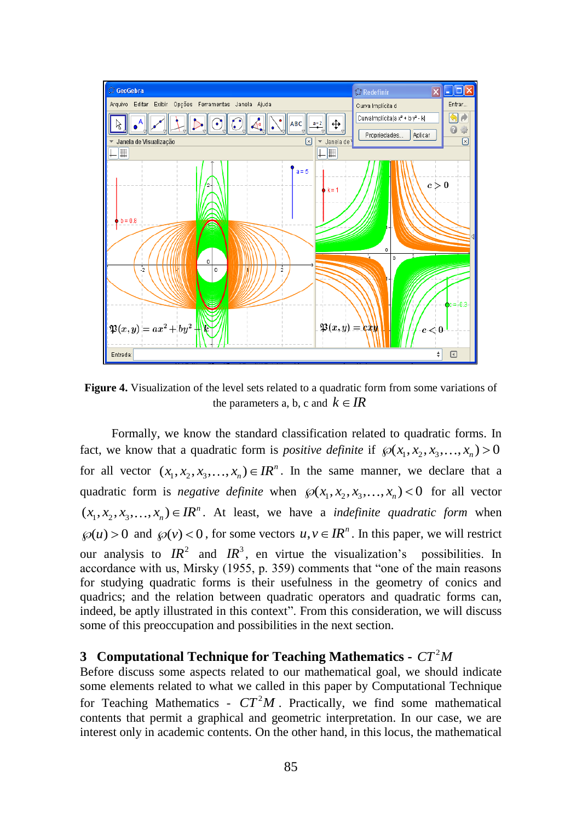

**Figure 4.** Visualization of the level sets related to a quadratic form from some variations of the parameters a, b, c and  $k \in \mathbb{R}$ 

Formally, we know the standard classification related to quadratic forms. In fact, we know that a quadratic form is *positive definite* if  $\mathcal{P}(x_1, x_2, x_3, \ldots, x_n) > 0$ for all vector  $(x_1, x_2, x_3, \ldots, x_n) \in \mathbb{R}^n$ . In the same manner, we declare that a quadratic form is *negative definite* when  $\mathcal{O}(x_1, x_2, x_3, \ldots, x_n) < 0$  for all vector  $(x_1, x_2, x_3, \ldots, x_n) \in \mathbb{IR}^n$ . At least, we have a *indefinite quadratic form* when  $\wp(u) > 0$  and  $\wp(v) < 0$ , for some vectors  $u, v \in \mathbb{R}^n$ . In this paper, we will restrict our analysis to  $IR^2$  and  $IR^3$ , en virtue the visualization's possibilities. In accordance with us, Mirsky (1955, p. 359) comments that "one of the main reasons for studying quadratic forms is their usefulness in the geometry of conics and quadrics; and the relation between quadratic operators and quadratic forms can, indeed, be aptly illustrated in this context". From this consideration, we will discuss some of this preoccupation and possibilities in the next section.

## **3** Computational Technique for Teaching Mathematics -  $CT^2M$

Before discuss some aspects related to our mathematical goal, we should indicate some elements related to what we called in this paper by Computational Technique for Teaching Mathematics -  $CT^2M$ . Practically, we find some mathematical contents that permit a graphical and geometric interpretation. In our case, we are interest only in academic contents. On the other hand, in this locus, the mathematical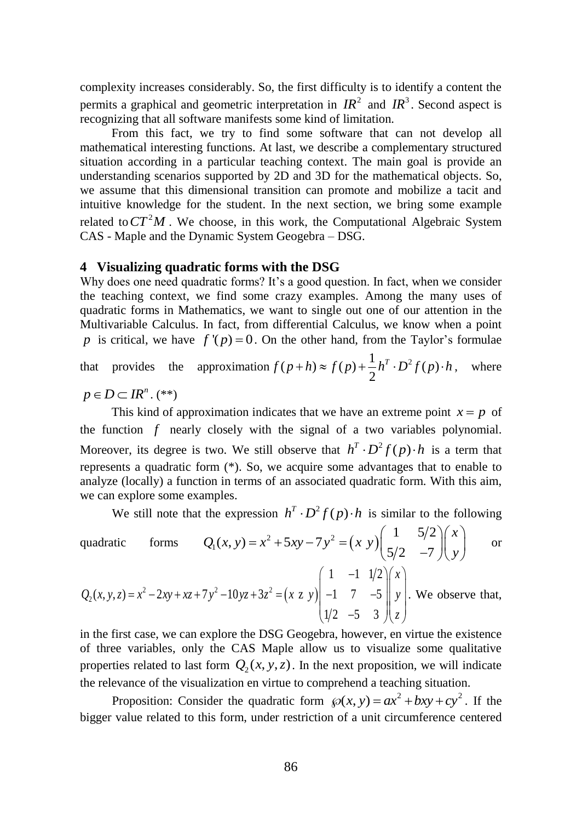complexity increases considerably. So, the first difficulty is to identify a content the permits a graphical and geometric interpretation in  $IR^2$  and  $IR^3$ . Second aspect is recognizing that all software manifests some kind of limitation.

From this fact, we try to find some software that can not develop all mathematical interesting functions. At last, we describe a complementary structured situation according in a particular teaching context. The main goal is provide an understanding scenarios supported by 2D and 3D for the mathematical objects. So, we assume that this dimensional transition can promote and mobilize a tacit and intuitive knowledge for the student. In the next section, we bring some example related to  $CT^2M$ . We choose, in this work, the Computational Algebraic System CAS - Maple and the Dynamic System Geogebra – DSG.

#### **4 Visualizing quadratic forms with the DSG**

Why does one need quadratic forms? It's a good question. In fact, when we consider the teaching context, we find some crazy examples. Among the many uses of quadratic forms in Mathematics, we want to single out one of our attention in the Multivariable Calculus. In fact, from differential Calculus, we know when a point p is critical, we have  $f'(p) = 0$ . On the other hand, from the Taylor's formulae

#### that provides the approximation  $f(p+h) \approx f(p) + \frac{1}{2}h^T \cdot D^2 f(p)$  $f(p+h) \approx f(p) + \frac{1}{2}h^T \cdot D^2 f(p) \cdot h$ , where

$$
p\in D\subset IR^n. (*)
$$

This kind of approximation indicates that we have an extreme point  $x = p$  of the function  $f$  nearly closely with the signal of a two variables polynomial. Moreover, its degree is two. We still observe that  $h^T \cdot D^2 f(p) \cdot h$  is a term that represents a quadratic form (\*). So, we acquire some advantages that to enable to analyze (locally) a function in terms of an associated quadratic form. With this aim, we can explore some examples.

We still note that the expression 
$$
h^T \cdot D^2 f(p) \cdot h
$$
 is similar to the following  
quadratic forms  $Q_1(x, y) = x^2 + 5xy - 7y^2 = (x \ y) \begin{pmatrix} 1 & 5/2 \\ 5/2 & -7 \end{pmatrix} \begin{pmatrix} x \\ y \end{pmatrix}$  or  
 $Q(x, y, z) = x^2 - 2xy + xz + 7y^2 - 10yz + 3z^2 = (x, z, y) \begin{pmatrix} 1 & -1 & 1/2 \\ -1 & 7 & -5 \end{pmatrix} \begin{pmatrix} x \\ y \end{pmatrix}$ . We observe that

$$
Q_2(x, y, z) = x^2 - 2xy + xz + 7y^2 - 10yz + 3z^2 = (x \times y) \begin{vmatrix} -1 & 7 & -5 \ 1/2 & -5 & 3 \end{vmatrix} y
$$
. We observe that,

in the first case, we can explore the DSG Geogebra, however, en virtue the existence of three variables, only the CAS Maple allow us to visualize some qualitative properties related to last form  $Q_2(x, y, z)$ . In the next proposition, we will indicate the relevance of the visualization en virtue to comprehend a teaching situation.

Proposition: Consider the quadratic form  $\wp(x, y) = ax^2 + bxy + cy^2$ . If the bigger value related to this form, under restriction of a unit circumference centered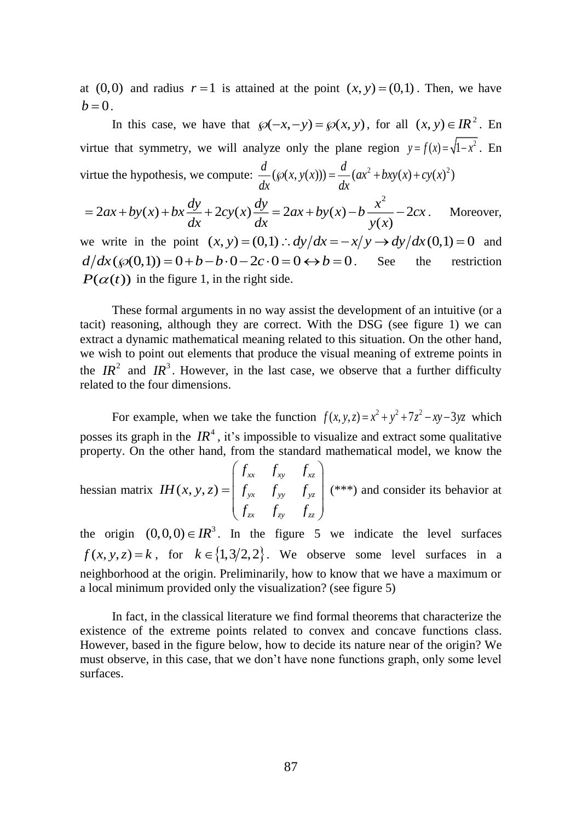at  $(0,0)$  and radius  $r=1$  is attained at the point  $(x, y) = (0,1)$ . Then, we have  $b = 0$ .

In this case, we have that  $\wp(-x, -y) = \wp(x, y)$ , for all  $(x, y) \in \mathbb{R}^2$ . En virtue that symmetry, we will analyze only the plane region  $y = f(x) = \sqrt{1 - x^2}$ . En virtue the hypothesis, we compute:  $\frac{d}{dx}(\wp(x, y(x))) = \frac{d}{dx}(ax^2 + bxy(x) + cy(x)^2)$ 

$$
= 2ax + by(x) + bx\frac{dy}{dx} + 2cy(x)\frac{dy}{dx} = 2ax + by(x) - b\frac{x^2}{y(x)} - 2cx.
$$
 Moreover,  
we write in the point  $(x, y) = (0, 1) : dy/dx = -x/y \rightarrow dy/dx(0, 1) = 0$  and

 $d/dx(\wp(0,1)) = 0 + b - b \cdot 0 - 2c \cdot 0 = 0 \leftrightarrow b = 0$ . See the restriction  $P(\alpha(t))$  in the figure 1, in the right side.

These formal arguments in no way assist the development of an intuitive (or a tacit) reasoning, although they are correct. With the DSG (see figure 1) we can extract a dynamic mathematical meaning related to this situation. On the other hand, we wish to point out elements that produce the visual meaning of extreme points in the  $IR^2$  and  $IR^3$ . However, in the last case, we observe that a further difficulty related to the four dimensions.

For example, when we take the function  $f(x, y, z) = x^2 + y^2 + 7z^2 - xy - 3yz$  which posses its graph in the  $IR^4$ , it's impossible to visualize and extract some qualitative property. On the other hand, from the standard mathematical model, we know the

hessian matrix  $IH(x, y, z)$ *xx xy xz yx yy yz zx zy zz*  $f_{rr}$   $f_{rr}$   $f$ *IH*  $(x, y, z) = |f_{yx} f_{yy} f_{z}$  $f_{\rm zx}$   $f_{\rm zv}$   $f_{\rm zv}$  $=\begin{pmatrix} f_{xx} & f_{xy} & f_{xz} \\ f_{yx} & f_{yy} & f_{yz} \\ f_{zx} & f_{zy} & f_{zz} \end{pmatrix}$  (\*\*\*) and consider its behavior at

the origin  $(0,0,0) \in IR^3$ . In the figure 5 we indicate the level surfaces  $f(x, y, z) = k$ , for  $k \in \{1, 3/2, 2\}$ . We observe some level surfaces in a neighborhood at the origin. Preliminarily, how to know that we have a maximum or a local minimum provided only the visualization? (see figure 5)

In fact, in the classical literature we find formal theorems that characterize the existence of the extreme points related to convex and concave functions class. However, based in the figure below, how to decide its nature near of the origin? We must observe, in this case, that we don't have none functions graph, only some level surfaces.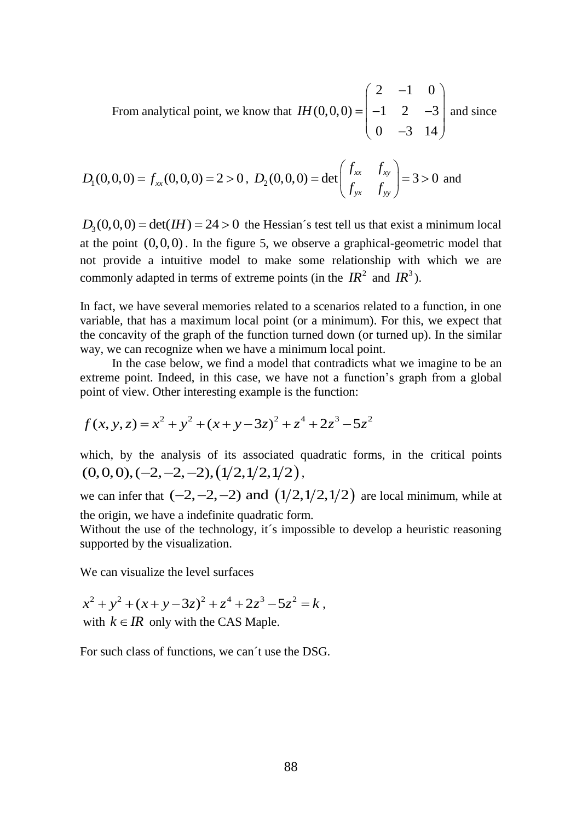From analytical point, we know that 2  $-1$  0  $(0,0,0) = | -1 2 -3$ 0 3 14 *IH*  $\begin{pmatrix} 2 & -1 & 0 \end{pmatrix}$  $=\begin{bmatrix} -1 & 2 & -3 \\ 0 & -3 & 14 \end{bmatrix}$  and since

$$
D_1(0,0,0) = f_{xx}(0,0,0) = 2 > 0
$$
,  $D_2(0,0,0) = det \begin{pmatrix} f_{xx} & f_{xy} \\ f_{yx} & f_{yy} \end{pmatrix} = 3 > 0$  and

 $D_3(0,0,0) = \det(H) = 24 > 0$  the Hessian's test tell us that exist a minimum local at the point (0,0,0) . In the figure 5, we observe a graphical-geometric model that not provide a intuitive model to make some relationship with which we are commonly adapted in terms of extreme points (in the  $IR^2$  and  $IR^3$ ).

In fact, we have several memories related to a scenarios related to a function, in one variable, that has a maximum local point (or a minimum). For this, we expect that the concavity of the graph of the function turned down (or turned up). In the similar way, we can recognize when we have a minimum local point.

In the case below, we find a model that contradicts what we imagine to be an extreme point. Indeed, in this case, we have not a function's graph from a global point of view. Other interesting example is the function:

$$
f(x, y, z) = x2 + y2 + (x + y - 3z)2 + z4 + 2z3 - 5z2
$$

which, by the analysis of its associated quadratic forms, in the critical points  $(0,0,0),(-2,-2,-2),(1/2,1/2,1/2)$ ,

we can infer that  $(-2, -2, -2)$  and  $(1/2, 1/2, 1/2)$  are local minimum, while at the origin, we have a indefinite quadratic form.

Without the use of the technology, it's impossible to develop a heuristic reasoning supported by the visualization.

We can visualize the level surfaces

$$
x^{2} + y^{2} + (x + y - 3z)^{2} + z^{4} + 2z^{3} - 5z^{2} = k
$$
,  
with  $k \in IR$  only with the CAS Maple.

For such class of functions, we can´t use the DSG.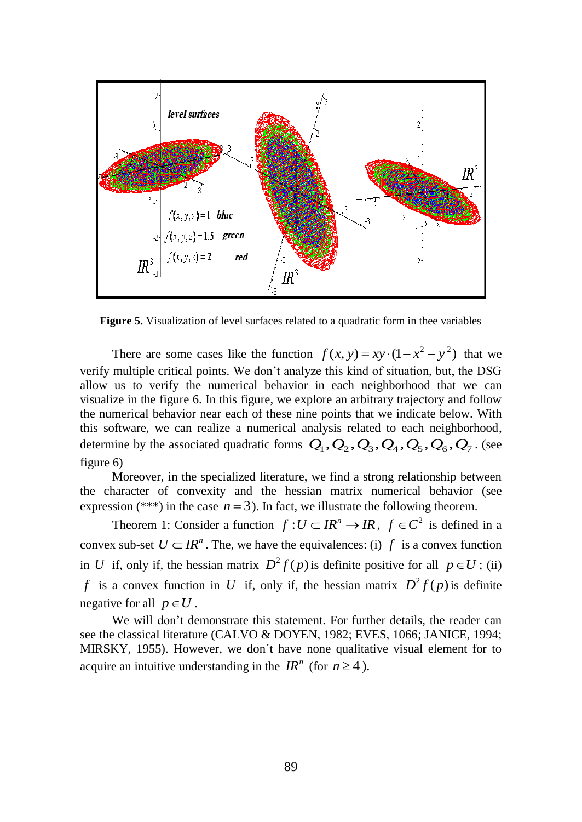

**Figure 5.** Visualization of level surfaces related to a quadratic form in thee variables

There are some cases like the function  $f(x, y) = xy \cdot (1 - x^2 - y^2)$  that we verify multiple critical points. We don't analyze this kind of situation, but, the DSG allow us to verify the numerical behavior in each neighborhood that we can visualize in the figure 6. In this figure, we explore an arbitrary trajectory and follow the numerical behavior near each of these nine points that we indicate below. With this software, we can realize a numerical analysis related to each neighborhood, this software, we can realize a numerical analysis related to each neighborhood, determine by the associated quadratic forms  $Q_1$ ,  $Q_2$ ,  $Q_3$ ,  $Q_4$ ,  $Q_5$ ,  $Q_6$ ,  $Q_7$ . (see figure 6)

Moreover, in the specialized literature, we find a strong relationship between the character of convexity and the hessian matrix numerical behavior (see expression (\*\*\*) in the case  $n = 3$ ). In fact, we illustrate the following theorem.

Theorem 1: Consider a function  $f: U \subset \mathbb{R}^n \to \mathbb{R}$ ,  $f \in \mathbb{C}^2$  is defined in a convex sub-set  $U \subset \mathbb{R}^n$ . The, we have the equivalences: (i)  $f$  is a convex function in U if, only if, the hessian matrix  $D^2 f(p)$  is definite positive for all  $p \in U$ ; (ii) f is a convex function in U if, only if, the hessian matrix  $D^2 f(p)$  is definite negative for all  $p \in U$ .

We will don't demonstrate this statement. For further details, the reader can see the classical literature (CALVO & DOYEN, 1982; EVES, 1066; JANICE, 1994; MIRSKY, 1955). However, we don´t have none qualitative visual element for to acquire an intuitive understanding in the  $IR^n$  (for  $n \ge 4$ ).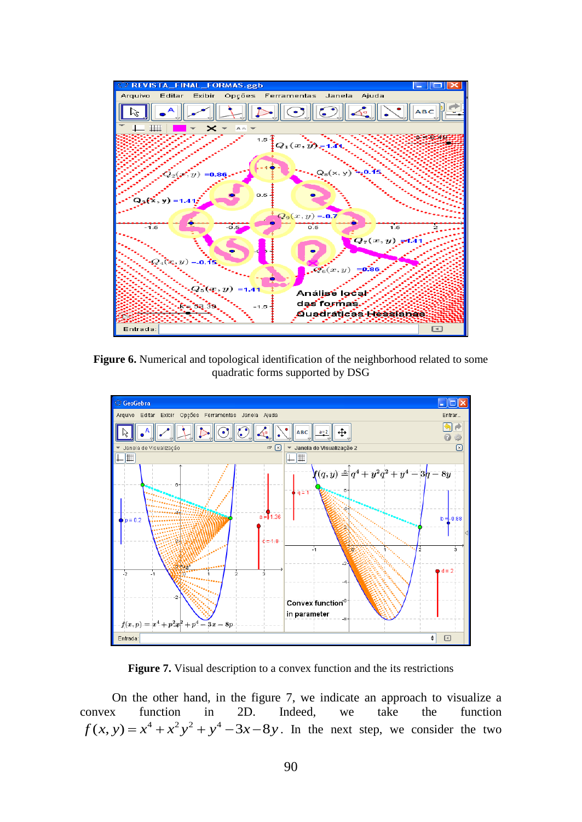

**Figure 6.** Numerical and topological identification of the neighborhood related to some quadratic forms supported by DSG



**Figure 7.** Visual description to a convex function and the its restrictions

On the other hand, in the figure 7, we indicate an approach to visualize a convex function in 2D. Indeed, we take the function  $f(x, y) = x^4 + x^2y^2 + y^4 - 3x - 8y$ . In the next step, we consider the two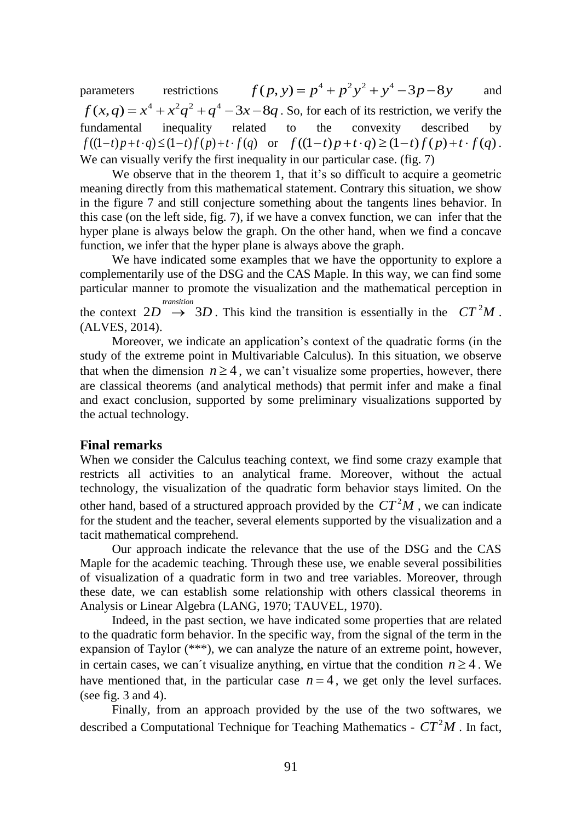parameters restrictions  $f(p, y) = p^4 + p^2y^2 + y^4 - 3p - 8y$ and  $f(x,q) = x^4 + x^2q^2 + q^4 - 3x - 8q$ . So, for each of its restriction, we verify the fundamental inequality related to the convexity described by  $f((1-t)p+t\cdot q) \le (1-t)f(p)+t\cdot f(q)$  or  $f((1-t)p+t\cdot q) \ge (1-t)f(p)+t\cdot f(q)$ . We can visually verify the first inequality in our particular case. (fig. 7)

We observe that in the theorem 1, that it's so difficult to acquire a geometric meaning directly from this mathematical statement. Contrary this situation, we show in the figure 7 and still conjecture something about the tangents lines behavior. In this case (on the left side, fig. 7), if we have a convex function, we can infer that the hyper plane is always below the graph. On the other hand, when we find a concave function, we infer that the hyper plane is always above the graph.

We have indicated some examples that we have the opportunity to explore a complementarily use of the DSG and the CAS Maple. In this way, we can find some particular manner to promote the visualization and the mathematical perception in the context  $2D \rightarrow 3D$ . This kind the transition is essentially in the  $CT^2M$ . *transition* (ALVES, 2014).

Moreover, we indicate an application's context of the quadratic forms (in the study of the extreme point in Multivariable Calculus). In this situation, we observe that when the dimension  $n \geq 4$ , we can't visualize some properties, however, there are classical theorems (and analytical methods) that permit infer and make a final and exact conclusion, supported by some preliminary visualizations supported by the actual technology.

## **Final remarks**

When we consider the Calculus teaching context, we find some crazy example that restricts all activities to an analytical frame. Moreover, without the actual technology, the visualization of the quadratic form behavior stays limited. On the other hand, based of a structured approach provided by the  $CT^2M$ , we can indicate for the student and the teacher, several elements supported by the visualization and a tacit mathematical comprehend.

Our approach indicate the relevance that the use of the DSG and the CAS Maple for the academic teaching. Through these use, we enable several possibilities of visualization of a quadratic form in two and tree variables. Moreover, through these date, we can establish some relationship with others classical theorems in Analysis or Linear Algebra (LANG, 1970; TAUVEL, 1970).

Indeed, in the past section, we have indicated some properties that are related to the quadratic form behavior. In the specific way, from the signal of the term in the expansion of Taylor (\*\*\*), we can analyze the nature of an extreme point, however, in certain cases, we can't visualize anything, en virtue that the condition  $n \geq 4$ . We have mentioned that, in the particular case  $n = 4$ , we get only the level surfaces. (see fig.  $3$  and  $4$ ).

Finally, from an approach provided by the use of the two softwares, we described a Computational Technique for Teaching Mathematics -  $CT^2M$ . In fact,